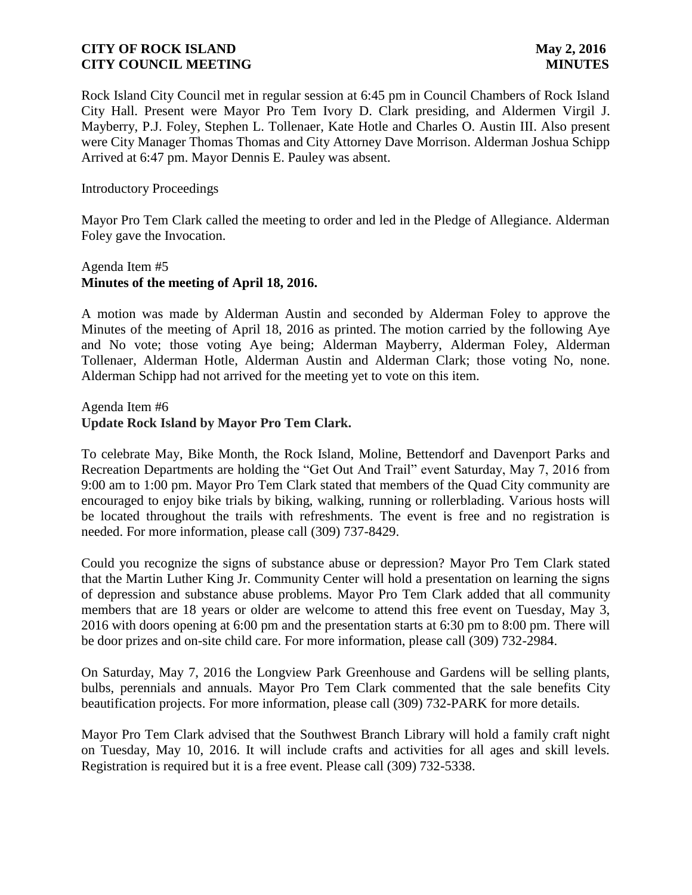Rock Island City Council met in regular session at 6:45 pm in Council Chambers of Rock Island City Hall. Present were Mayor Pro Tem Ivory D. Clark presiding, and Aldermen Virgil J. Mayberry, P.J. Foley, Stephen L. Tollenaer, Kate Hotle and Charles O. Austin III. Also present were City Manager Thomas Thomas and City Attorney Dave Morrison. Alderman Joshua Schipp Arrived at 6:47 pm. Mayor Dennis E. Pauley was absent.

Introductory Proceedings

Mayor Pro Tem Clark called the meeting to order and led in the Pledge of Allegiance. Alderman Foley gave the Invocation.

# Agenda Item #5 **Minutes of the meeting of April 18, 2016.**

A motion was made by Alderman Austin and seconded by Alderman Foley to approve the Minutes of the meeting of April 18, 2016 as printed. The motion carried by the following Aye and No vote; those voting Aye being; Alderman Mayberry, Alderman Foley, Alderman Tollenaer, Alderman Hotle, Alderman Austin and Alderman Clark; those voting No, none. Alderman Schipp had not arrived for the meeting yet to vote on this item.

Agenda Item #6 **Update Rock Island by Mayor Pro Tem Clark.** 

To celebrate May, Bike Month, the Rock Island, Moline, Bettendorf and Davenport Parks and Recreation Departments are holding the "Get Out And Trail" event Saturday, May 7, 2016 from 9:00 am to 1:00 pm. Mayor Pro Tem Clark stated that members of the Quad City community are encouraged to enjoy bike trials by biking, walking, running or rollerblading. Various hosts will be located throughout the trails with refreshments. The event is free and no registration is needed. For more information, please call (309) 737-8429.

Could you recognize the signs of substance abuse or depression? Mayor Pro Tem Clark stated that the Martin Luther King Jr. Community Center will hold a presentation on learning the signs of depression and substance abuse problems. Mayor Pro Tem Clark added that all community members that are 18 years or older are welcome to attend this free event on Tuesday, May 3, 2016 with doors opening at 6:00 pm and the presentation starts at 6:30 pm to 8:00 pm. There will be door prizes and on-site child care. For more information, please call (309) 732-2984.

On Saturday, May 7, 2016 the Longview Park Greenhouse and Gardens will be selling plants, bulbs, perennials and annuals. Mayor Pro Tem Clark commented that the sale benefits City beautification projects. For more information, please call (309) 732-PARK for more details.

Mayor Pro Tem Clark advised that the Southwest Branch Library will hold a family craft night on Tuesday, May 10, 2016. It will include crafts and activities for all ages and skill levels. Registration is required but it is a free event. Please call (309) 732-5338.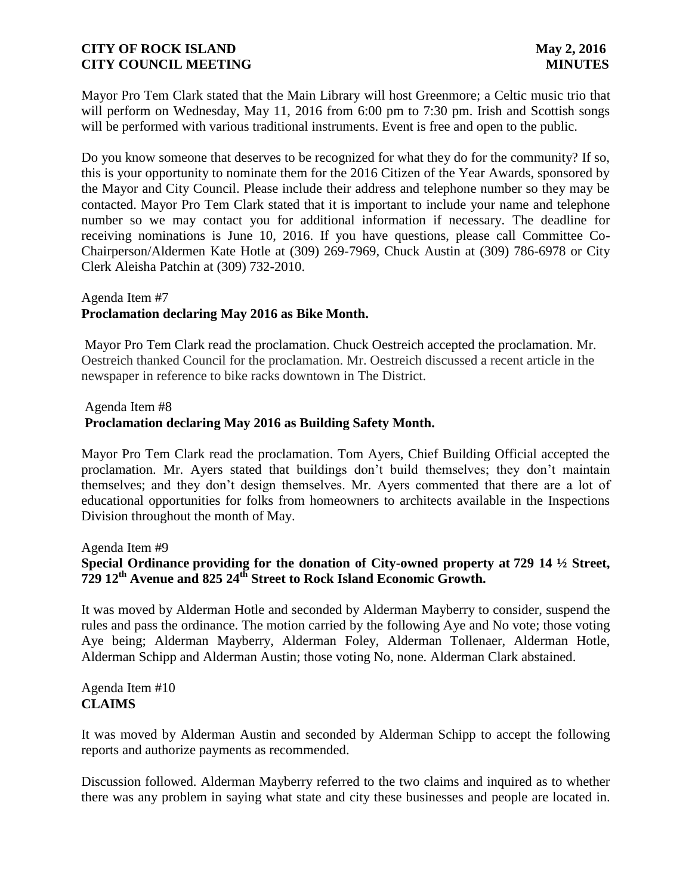Mayor Pro Tem Clark stated that the Main Library will host Greenmore; a Celtic music trio that will perform on Wednesday, May 11, 2016 from 6:00 pm to 7:30 pm. Irish and Scottish songs will be performed with various traditional instruments. Event is free and open to the public.

Do you know someone that deserves to be recognized for what they do for the community? If so, this is your opportunity to nominate them for the 2016 Citizen of the Year Awards, sponsored by the Mayor and City Council. Please include their address and telephone number so they may be contacted. Mayor Pro Tem Clark stated that it is important to include your name and telephone number so we may contact you for additional information if necessary. The deadline for receiving nominations is June 10, 2016. If you have questions, please call Committee Co-Chairperson/Aldermen Kate Hotle at (309) 269-7969, Chuck Austin at (309) 786-6978 or City Clerk Aleisha Patchin at (309) 732-2010.

# Agenda Item #7 **Proclamation declaring May 2016 as Bike Month.**

Mayor Pro Tem Clark read the proclamation. Chuck Oestreich accepted the proclamation. Mr. Oestreich thanked Council for the proclamation. Mr. Oestreich discussed a recent article in the newspaper in reference to bike racks downtown in The District.

# Agenda Item #8 **Proclamation declaring May 2016 as Building Safety Month.**

Mayor Pro Tem Clark read the proclamation. Tom Ayers, Chief Building Official accepted the proclamation. Mr. Ayers stated that buildings don't build themselves; they don't maintain themselves; and they don't design themselves. Mr. Ayers commented that there are a lot of educational opportunities for folks from homeowners to architects available in the Inspections Division throughout the month of May.

Agenda Item #9

# **Special Ordinance providing for the donation of City-owned property at 729 14 ½ Street, 729 12th Avenue and 825 24th Street to Rock Island Economic Growth.**

It was moved by Alderman Hotle and seconded by Alderman Mayberry to consider, suspend the rules and pass the ordinance. The motion carried by the following Aye and No vote; those voting Aye being; Alderman Mayberry, Alderman Foley, Alderman Tollenaer, Alderman Hotle, Alderman Schipp and Alderman Austin; those voting No, none. Alderman Clark abstained.

Agenda Item #10 **CLAIMS**

It was moved by Alderman Austin and seconded by Alderman Schipp to accept the following reports and authorize payments as recommended.

Discussion followed. Alderman Mayberry referred to the two claims and inquired as to whether there was any problem in saying what state and city these businesses and people are located in.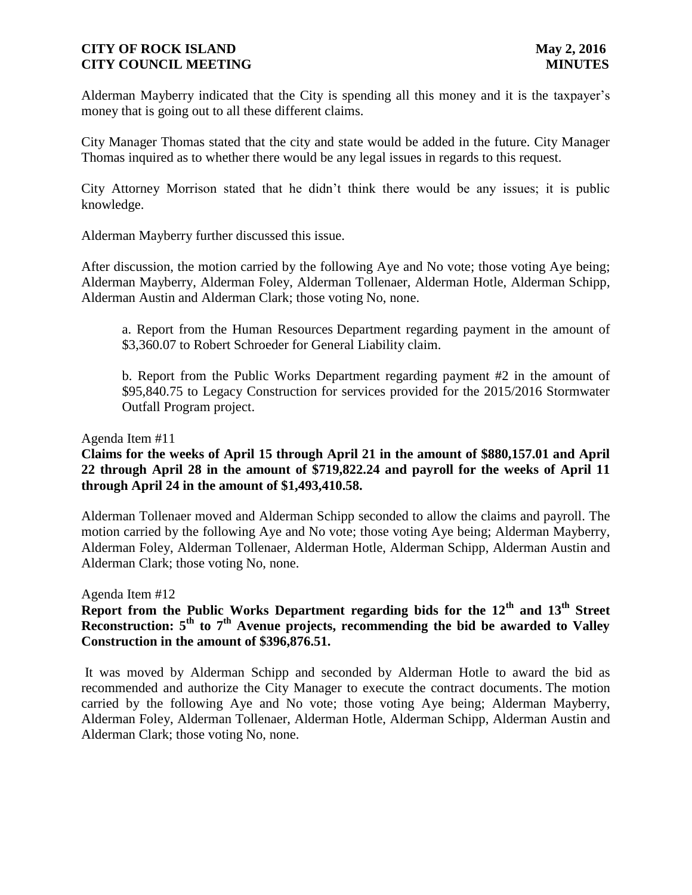Alderman Mayberry indicated that the City is spending all this money and it is the taxpayer's money that is going out to all these different claims.

City Manager Thomas stated that the city and state would be added in the future. City Manager Thomas inquired as to whether there would be any legal issues in regards to this request.

City Attorney Morrison stated that he didn't think there would be any issues; it is public knowledge.

Alderman Mayberry further discussed this issue.

After discussion, the motion carried by the following Aye and No vote; those voting Aye being; Alderman Mayberry, Alderman Foley, Alderman Tollenaer, Alderman Hotle, Alderman Schipp, Alderman Austin and Alderman Clark; those voting No, none.

a. Report from the Human Resources Department regarding payment in the amount of \$3,360.07 to Robert Schroeder for General Liability claim.

b. Report from the Public Works Department regarding payment #2 in the amount of \$95,840.75 to Legacy Construction for services provided for the 2015/2016 Stormwater Outfall Program project.

Agenda Item #11

# **Claims for the weeks of April 15 through April 21 in the amount of \$880,157.01 and April 22 through April 28 in the amount of \$719,822.24 and payroll for the weeks of April 11 through April 24 in the amount of \$1,493,410.58.**

Alderman Tollenaer moved and Alderman Schipp seconded to allow the claims and payroll. The motion carried by the following Aye and No vote; those voting Aye being; Alderman Mayberry, Alderman Foley, Alderman Tollenaer, Alderman Hotle, Alderman Schipp, Alderman Austin and Alderman Clark; those voting No, none.

Agenda Item #12

# **Report from the Public Works Department regarding bids for the 12th and 13th Street Reconstruction: 5th to 7th Avenue projects, recommending the bid be awarded to Valley Construction in the amount of \$396,876.51.**

It was moved by Alderman Schipp and seconded by Alderman Hotle to award the bid as recommended and authorize the City Manager to execute the contract documents. The motion carried by the following Aye and No vote; those voting Aye being; Alderman Mayberry, Alderman Foley, Alderman Tollenaer, Alderman Hotle, Alderman Schipp, Alderman Austin and Alderman Clark; those voting No, none.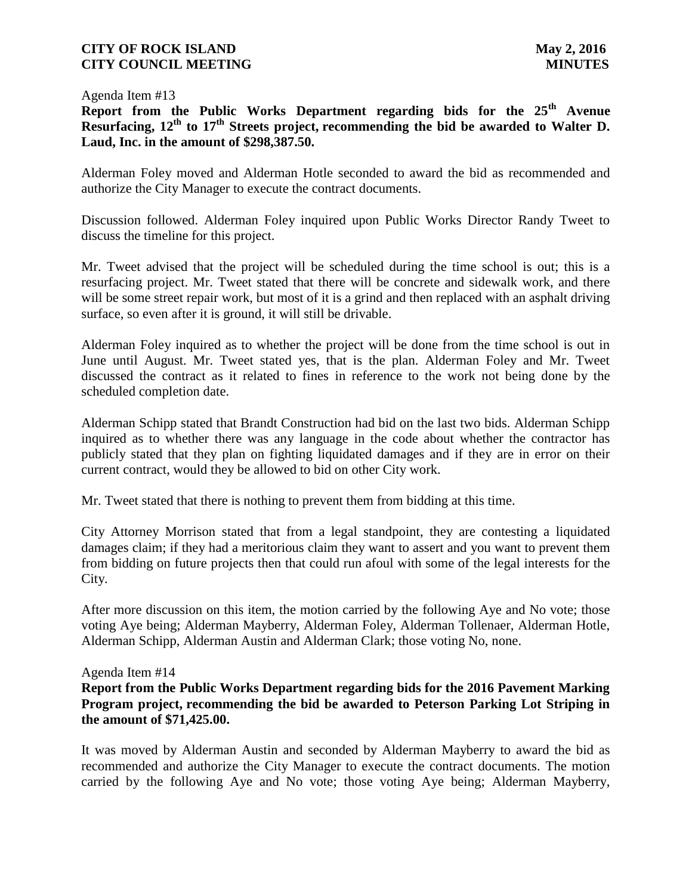#### Agenda Item #13

**Report from the Public Works Department regarding bids for the 25th Avenue Resurfacing, 12th to 17th Streets project, recommending the bid be awarded to Walter D. Laud, Inc. in the amount of \$298,387.50.**

Alderman Foley moved and Alderman Hotle seconded to award the bid as recommended and authorize the City Manager to execute the contract documents.

Discussion followed. Alderman Foley inquired upon Public Works Director Randy Tweet to discuss the timeline for this project.

Mr. Tweet advised that the project will be scheduled during the time school is out; this is a resurfacing project. Mr. Tweet stated that there will be concrete and sidewalk work, and there will be some street repair work, but most of it is a grind and then replaced with an asphalt driving surface, so even after it is ground, it will still be drivable.

Alderman Foley inquired as to whether the project will be done from the time school is out in June until August. Mr. Tweet stated yes, that is the plan. Alderman Foley and Mr. Tweet discussed the contract as it related to fines in reference to the work not being done by the scheduled completion date.

Alderman Schipp stated that Brandt Construction had bid on the last two bids. Alderman Schipp inquired as to whether there was any language in the code about whether the contractor has publicly stated that they plan on fighting liquidated damages and if they are in error on their current contract, would they be allowed to bid on other City work.

Mr. Tweet stated that there is nothing to prevent them from bidding at this time.

City Attorney Morrison stated that from a legal standpoint, they are contesting a liquidated damages claim; if they had a meritorious claim they want to assert and you want to prevent them from bidding on future projects then that could run afoul with some of the legal interests for the City.

After more discussion on this item, the motion carried by the following Aye and No vote; those voting Aye being; Alderman Mayberry, Alderman Foley, Alderman Tollenaer, Alderman Hotle, Alderman Schipp, Alderman Austin and Alderman Clark; those voting No, none.

### Agenda Item #14

**Report from the Public Works Department regarding bids for the 2016 Pavement Marking Program project, recommending the bid be awarded to Peterson Parking Lot Striping in the amount of \$71,425.00.**

It was moved by Alderman Austin and seconded by Alderman Mayberry to award the bid as recommended and authorize the City Manager to execute the contract documents. The motion carried by the following Aye and No vote; those voting Aye being; Alderman Mayberry,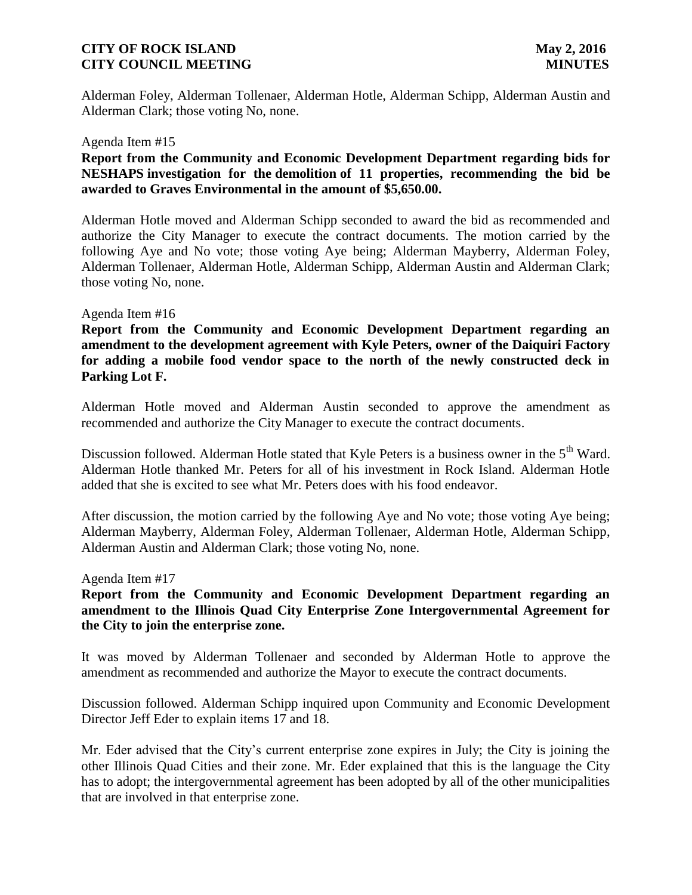Alderman Foley, Alderman Tollenaer, Alderman Hotle, Alderman Schipp, Alderman Austin and Alderman Clark; those voting No, none.

#### Agenda Item #15

# **Report from the Community and Economic Development Department regarding bids for NESHAPS investigation for the demolition of 11 properties, recommending the bid be awarded to Graves Environmental in the amount of \$5,650.00.**

Alderman Hotle moved and Alderman Schipp seconded to award the bid as recommended and authorize the City Manager to execute the contract documents. The motion carried by the following Aye and No vote; those voting Aye being; Alderman Mayberry, Alderman Foley, Alderman Tollenaer, Alderman Hotle, Alderman Schipp, Alderman Austin and Alderman Clark; those voting No, none.

#### Agenda Item #16

**Report from the Community and Economic Development Department regarding an amendment to the development agreement with Kyle Peters, owner of the Daiquiri Factory for adding a mobile food vendor space to the north of the newly constructed deck in Parking Lot F.**

Alderman Hotle moved and Alderman Austin seconded to approve the amendment as recommended and authorize the City Manager to execute the contract documents.

Discussion followed. Alderman Hotle stated that Kyle Peters is a business owner in the 5<sup>th</sup> Ward. Alderman Hotle thanked Mr. Peters for all of his investment in Rock Island. Alderman Hotle added that she is excited to see what Mr. Peters does with his food endeavor.

After discussion, the motion carried by the following Aye and No vote; those voting Aye being; Alderman Mayberry, Alderman Foley, Alderman Tollenaer, Alderman Hotle, Alderman Schipp, Alderman Austin and Alderman Clark; those voting No, none.

#### Agenda Item #17

# **Report from the Community and Economic Development Department regarding an amendment to the Illinois Quad City Enterprise Zone Intergovernmental Agreement for the City to join the enterprise zone.**

It was moved by Alderman Tollenaer and seconded by Alderman Hotle to approve the amendment as recommended and authorize the Mayor to execute the contract documents.

Discussion followed. Alderman Schipp inquired upon Community and Economic Development Director Jeff Eder to explain items 17 and 18.

Mr. Eder advised that the City's current enterprise zone expires in July; the City is joining the other Illinois Quad Cities and their zone. Mr. Eder explained that this is the language the City has to adopt; the intergovernmental agreement has been adopted by all of the other municipalities that are involved in that enterprise zone.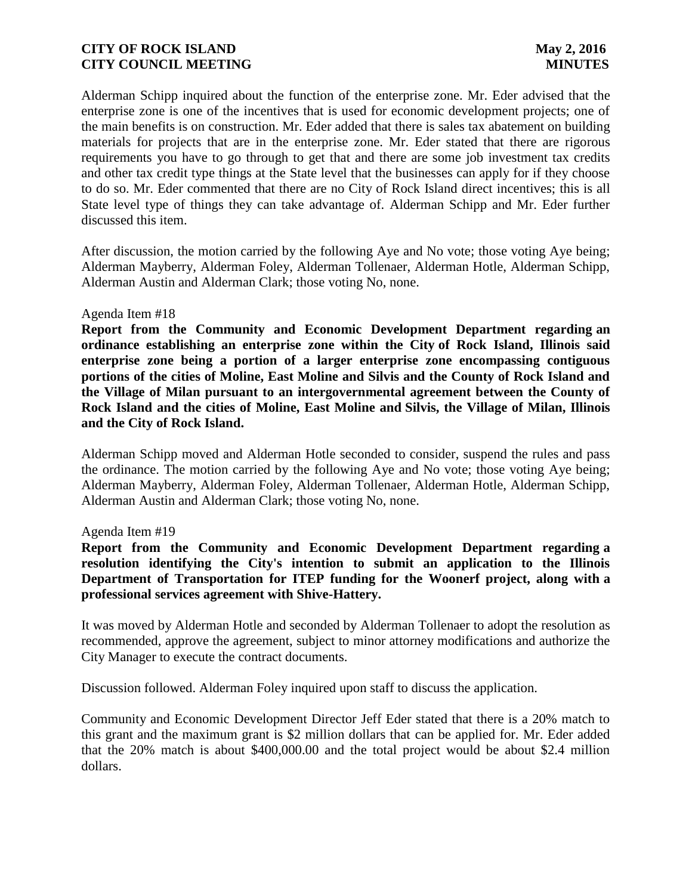Alderman Schipp inquired about the function of the enterprise zone. Mr. Eder advised that the enterprise zone is one of the incentives that is used for economic development projects; one of the main benefits is on construction. Mr. Eder added that there is sales tax abatement on building materials for projects that are in the enterprise zone. Mr. Eder stated that there are rigorous requirements you have to go through to get that and there are some job investment tax credits and other tax credit type things at the State level that the businesses can apply for if they choose to do so. Mr. Eder commented that there are no City of Rock Island direct incentives; this is all State level type of things they can take advantage of. Alderman Schipp and Mr. Eder further discussed this item.

After discussion, the motion carried by the following Aye and No vote; those voting Aye being; Alderman Mayberry, Alderman Foley, Alderman Tollenaer, Alderman Hotle, Alderman Schipp, Alderman Austin and Alderman Clark; those voting No, none.

#### Agenda Item #18

**Report from the Community and Economic Development Department regarding an ordinance establishing an enterprise zone within the City of Rock Island, Illinois said enterprise zone being a portion of a larger enterprise zone encompassing contiguous portions of the cities of Moline, East Moline and Silvis and the County of Rock Island and the Village of Milan pursuant to an intergovernmental agreement between the County of Rock Island and the cities of Moline, East Moline and Silvis, the Village of Milan, Illinois and the City of Rock Island.** 

Alderman Schipp moved and Alderman Hotle seconded to consider, suspend the rules and pass the ordinance. The motion carried by the following Aye and No vote; those voting Aye being; Alderman Mayberry, Alderman Foley, Alderman Tollenaer, Alderman Hotle, Alderman Schipp, Alderman Austin and Alderman Clark; those voting No, none.

#### Agenda Item #19

**Report from the Community and Economic Development Department regarding a resolution identifying the City's intention to submit an application to the Illinois Department of Transportation for ITEP funding for the Woonerf project, along with a professional services agreement with Shive-Hattery.** 

It was moved by Alderman Hotle and seconded by Alderman Tollenaer to adopt the resolution as recommended, approve the agreement, subject to minor attorney modifications and authorize the City Manager to execute the contract documents.

Discussion followed. Alderman Foley inquired upon staff to discuss the application.

Community and Economic Development Director Jeff Eder stated that there is a 20% match to this grant and the maximum grant is \$2 million dollars that can be applied for. Mr. Eder added that the 20% match is about \$400,000.00 and the total project would be about \$2.4 million dollars.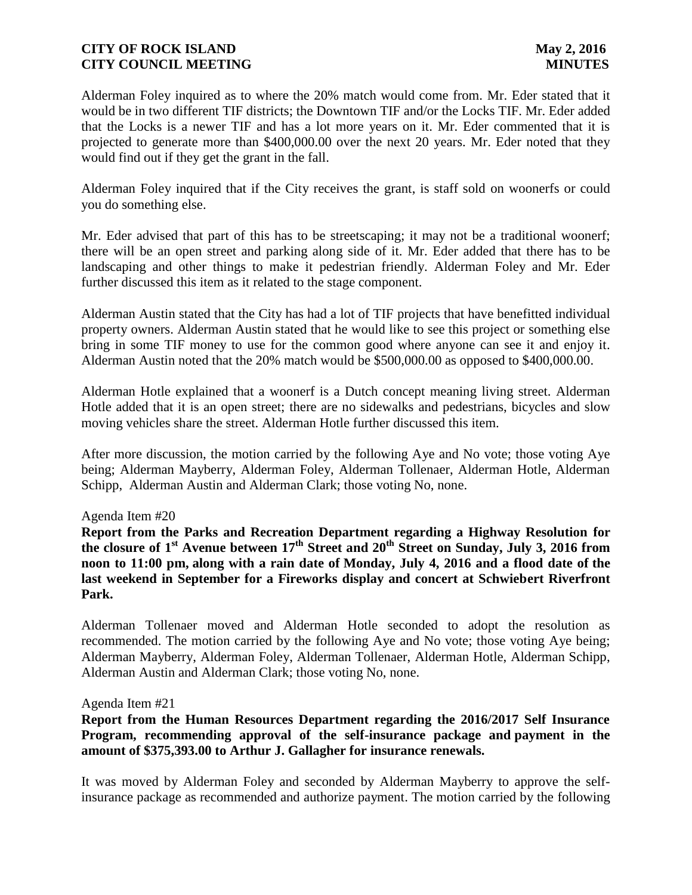Alderman Foley inquired as to where the 20% match would come from. Mr. Eder stated that it would be in two different TIF districts; the Downtown TIF and/or the Locks TIF. Mr. Eder added that the Locks is a newer TIF and has a lot more years on it. Mr. Eder commented that it is projected to generate more than \$400,000.00 over the next 20 years. Mr. Eder noted that they would find out if they get the grant in the fall.

Alderman Foley inquired that if the City receives the grant, is staff sold on woonerfs or could you do something else.

Mr. Eder advised that part of this has to be streetscaping; it may not be a traditional woonerf; there will be an open street and parking along side of it. Mr. Eder added that there has to be landscaping and other things to make it pedestrian friendly. Alderman Foley and Mr. Eder further discussed this item as it related to the stage component.

Alderman Austin stated that the City has had a lot of TIF projects that have benefitted individual property owners. Alderman Austin stated that he would like to see this project or something else bring in some TIF money to use for the common good where anyone can see it and enjoy it. Alderman Austin noted that the 20% match would be \$500,000.00 as opposed to \$400,000.00.

Alderman Hotle explained that a woonerf is a Dutch concept meaning living street. Alderman Hotle added that it is an open street; there are no sidewalks and pedestrians, bicycles and slow moving vehicles share the street. Alderman Hotle further discussed this item.

After more discussion, the motion carried by the following Aye and No vote; those voting Aye being; Alderman Mayberry, Alderman Foley, Alderman Tollenaer, Alderman Hotle, Alderman Schipp, Alderman Austin and Alderman Clark; those voting No, none.

Agenda Item #20

**Report from the Parks and Recreation Department regarding a Highway Resolution for the closure of 1st Avenue between 17th Street and 20th Street on Sunday, July 3, 2016 from noon to 11:00 pm, along with a rain date of Monday, July 4, 2016 and a flood date of the last weekend in September for a Fireworks display and concert at Schwiebert Riverfront Park.** 

Alderman Tollenaer moved and Alderman Hotle seconded to adopt the resolution as recommended. The motion carried by the following Aye and No vote; those voting Aye being; Alderman Mayberry, Alderman Foley, Alderman Tollenaer, Alderman Hotle, Alderman Schipp, Alderman Austin and Alderman Clark; those voting No, none.

#### Agenda Item #21

**Report from the Human Resources Department regarding the 2016/2017 Self Insurance Program, recommending approval of the self-insurance package and payment in the amount of \$375,393.00 to Arthur J. Gallagher for insurance renewals.**

It was moved by Alderman Foley and seconded by Alderman Mayberry to approve the selfinsurance package as recommended and authorize payment. The motion carried by the following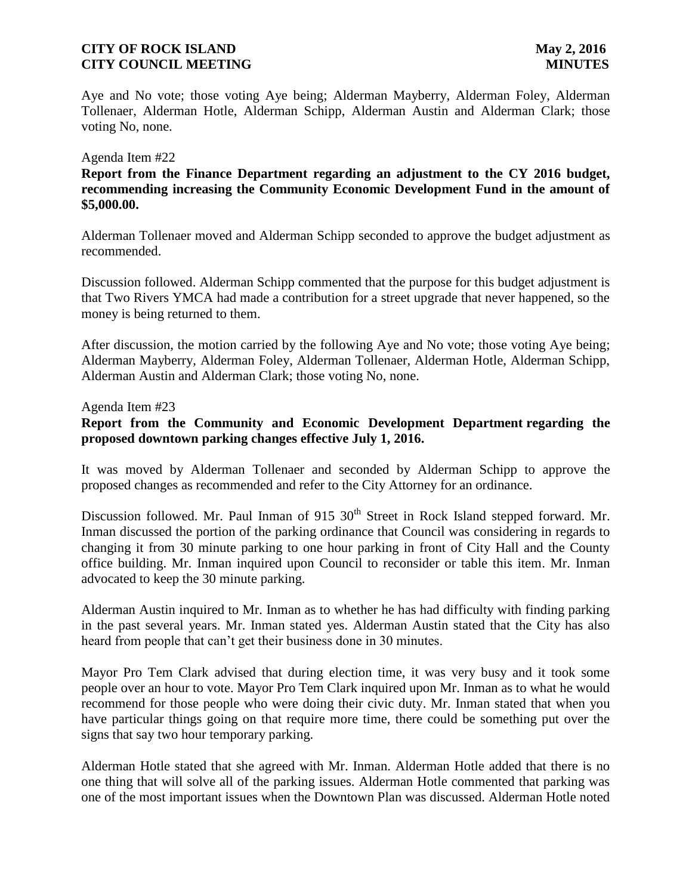Aye and No vote; those voting Aye being; Alderman Mayberry, Alderman Foley, Alderman Tollenaer, Alderman Hotle, Alderman Schipp, Alderman Austin and Alderman Clark; those voting No, none.

#### Agenda Item #22

**Report from the Finance Department regarding an adjustment to the CY 2016 budget, recommending increasing the Community Economic Development Fund in the amount of \$5,000.00.**

Alderman Tollenaer moved and Alderman Schipp seconded to approve the budget adjustment as recommended.

Discussion followed. Alderman Schipp commented that the purpose for this budget adjustment is that Two Rivers YMCA had made a contribution for a street upgrade that never happened, so the money is being returned to them.

After discussion, the motion carried by the following Aye and No vote; those voting Aye being; Alderman Mayberry, Alderman Foley, Alderman Tollenaer, Alderman Hotle, Alderman Schipp, Alderman Austin and Alderman Clark; those voting No, none.

#### Agenda Item #23

# **Report from the Community and Economic Development Department regarding the proposed downtown parking changes effective July 1, 2016.**

It was moved by Alderman Tollenaer and seconded by Alderman Schipp to approve the proposed changes as recommended and refer to the City Attorney for an ordinance.

Discussion followed. Mr. Paul Inman of  $915 \times 30^{th}$  Street in Rock Island stepped forward. Mr. Inman discussed the portion of the parking ordinance that Council was considering in regards to changing it from 30 minute parking to one hour parking in front of City Hall and the County office building. Mr. Inman inquired upon Council to reconsider or table this item. Mr. Inman advocated to keep the 30 minute parking.

Alderman Austin inquired to Mr. Inman as to whether he has had difficulty with finding parking in the past several years. Mr. Inman stated yes. Alderman Austin stated that the City has also heard from people that can't get their business done in 30 minutes.

Mayor Pro Tem Clark advised that during election time, it was very busy and it took some people over an hour to vote. Mayor Pro Tem Clark inquired upon Mr. Inman as to what he would recommend for those people who were doing their civic duty. Mr. Inman stated that when you have particular things going on that require more time, there could be something put over the signs that say two hour temporary parking.

Alderman Hotle stated that she agreed with Mr. Inman. Alderman Hotle added that there is no one thing that will solve all of the parking issues. Alderman Hotle commented that parking was one of the most important issues when the Downtown Plan was discussed. Alderman Hotle noted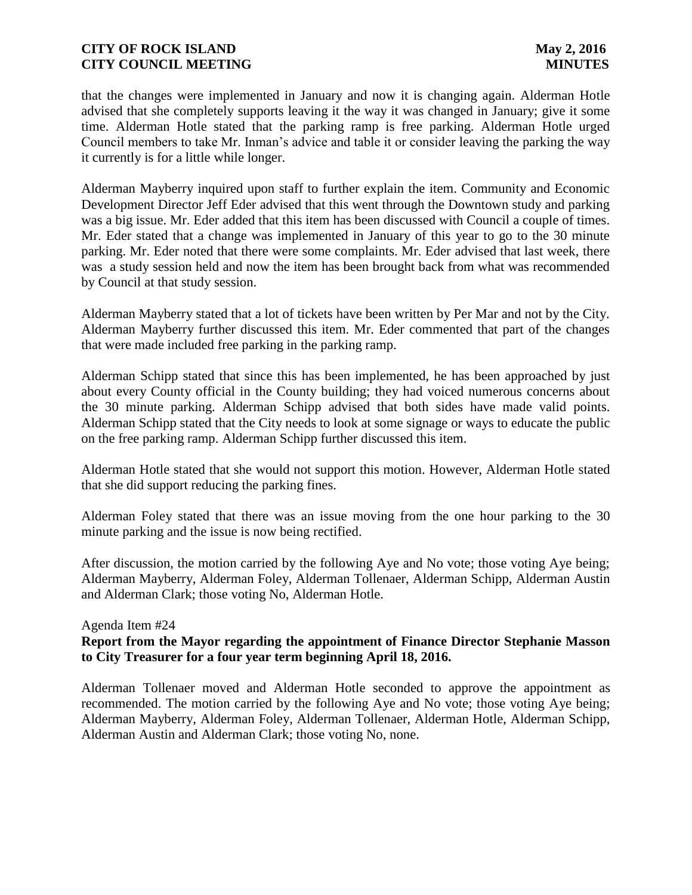that the changes were implemented in January and now it is changing again. Alderman Hotle advised that she completely supports leaving it the way it was changed in January; give it some time. Alderman Hotle stated that the parking ramp is free parking. Alderman Hotle urged Council members to take Mr. Inman's advice and table it or consider leaving the parking the way it currently is for a little while longer.

Alderman Mayberry inquired upon staff to further explain the item. Community and Economic Development Director Jeff Eder advised that this went through the Downtown study and parking was a big issue. Mr. Eder added that this item has been discussed with Council a couple of times. Mr. Eder stated that a change was implemented in January of this year to go to the 30 minute parking. Mr. Eder noted that there were some complaints. Mr. Eder advised that last week, there was a study session held and now the item has been brought back from what was recommended by Council at that study session.

Alderman Mayberry stated that a lot of tickets have been written by Per Mar and not by the City. Alderman Mayberry further discussed this item. Mr. Eder commented that part of the changes that were made included free parking in the parking ramp.

Alderman Schipp stated that since this has been implemented, he has been approached by just about every County official in the County building; they had voiced numerous concerns about the 30 minute parking. Alderman Schipp advised that both sides have made valid points. Alderman Schipp stated that the City needs to look at some signage or ways to educate the public on the free parking ramp. Alderman Schipp further discussed this item.

Alderman Hotle stated that she would not support this motion. However, Alderman Hotle stated that she did support reducing the parking fines.

Alderman Foley stated that there was an issue moving from the one hour parking to the 30 minute parking and the issue is now being rectified.

After discussion, the motion carried by the following Aye and No vote; those voting Aye being; Alderman Mayberry, Alderman Foley, Alderman Tollenaer, Alderman Schipp, Alderman Austin and Alderman Clark; those voting No, Alderman Hotle.

### Agenda Item #24

# **Report from the Mayor regarding the appointment of Finance Director Stephanie Masson to City Treasurer for a four year term beginning April 18, 2016.**

Alderman Tollenaer moved and Alderman Hotle seconded to approve the appointment as recommended. The motion carried by the following Aye and No vote; those voting Aye being; Alderman Mayberry, Alderman Foley, Alderman Tollenaer, Alderman Hotle, Alderman Schipp, Alderman Austin and Alderman Clark; those voting No, none.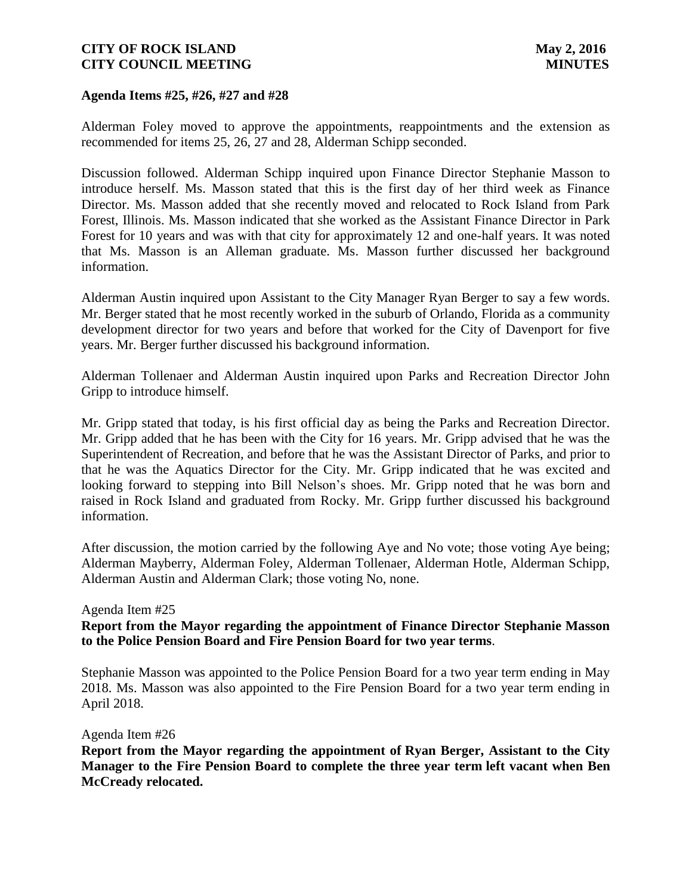### **Agenda Items #25, #26, #27 and #28**

Alderman Foley moved to approve the appointments, reappointments and the extension as recommended for items 25, 26, 27 and 28, Alderman Schipp seconded.

Discussion followed. Alderman Schipp inquired upon Finance Director Stephanie Masson to introduce herself. Ms. Masson stated that this is the first day of her third week as Finance Director. Ms. Masson added that she recently moved and relocated to Rock Island from Park Forest, Illinois. Ms. Masson indicated that she worked as the Assistant Finance Director in Park Forest for 10 years and was with that city for approximately 12 and one-half years. It was noted that Ms. Masson is an Alleman graduate. Ms. Masson further discussed her background information.

Alderman Austin inquired upon Assistant to the City Manager Ryan Berger to say a few words. Mr. Berger stated that he most recently worked in the suburb of Orlando, Florida as a community development director for two years and before that worked for the City of Davenport for five years. Mr. Berger further discussed his background information.

Alderman Tollenaer and Alderman Austin inquired upon Parks and Recreation Director John Gripp to introduce himself.

Mr. Gripp stated that today, is his first official day as being the Parks and Recreation Director. Mr. Gripp added that he has been with the City for 16 years. Mr. Gripp advised that he was the Superintendent of Recreation, and before that he was the Assistant Director of Parks, and prior to that he was the Aquatics Director for the City. Mr. Gripp indicated that he was excited and looking forward to stepping into Bill Nelson's shoes. Mr. Gripp noted that he was born and raised in Rock Island and graduated from Rocky. Mr. Gripp further discussed his background information.

After discussion, the motion carried by the following Aye and No vote; those voting Aye being; Alderman Mayberry, Alderman Foley, Alderman Tollenaer, Alderman Hotle, Alderman Schipp, Alderman Austin and Alderman Clark; those voting No, none.

#### Agenda Item #25

### **Report from the Mayor regarding the appointment of Finance Director Stephanie Masson to the Police Pension Board and Fire Pension Board for two year terms**.

Stephanie Masson was appointed to the Police Pension Board for a two year term ending in May 2018. Ms. Masson was also appointed to the Fire Pension Board for a two year term ending in April 2018.

Agenda Item #26

**Report from the Mayor regarding the appointment of Ryan Berger, Assistant to the City Manager to the Fire Pension Board to complete the three year term left vacant when Ben McCready relocated.**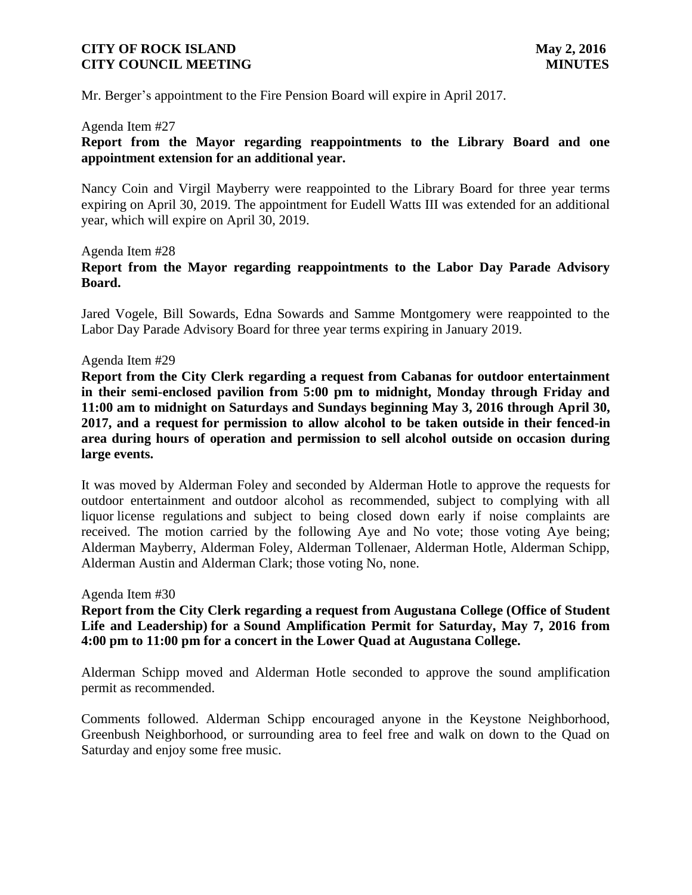Mr. Berger's appointment to the Fire Pension Board will expire in April 2017.

#### Agenda Item #27

**Report from the Mayor regarding reappointments to the Library Board and one appointment extension for an additional year.**

Nancy Coin and Virgil Mayberry were reappointed to the Library Board for three year terms expiring on April 30, 2019. The appointment for Eudell Watts III was extended for an additional year, which will expire on April 30, 2019.

# Agenda Item #28 **Report from the Mayor regarding reappointments to the Labor Day Parade Advisory Board.**

Jared Vogele, Bill Sowards, Edna Sowards and Samme Montgomery were reappointed to the Labor Day Parade Advisory Board for three year terms expiring in January 2019.

#### Agenda Item #29

**Report from the City Clerk regarding a request from Cabanas for outdoor entertainment in their semi-enclosed pavilion from 5:00 pm to midnight, Monday through Friday and 11:00 am to midnight on Saturdays and Sundays beginning May 3, 2016 through April 30, 2017, and a request for permission to allow alcohol to be taken outside in their fenced-in area during hours of operation and permission to sell alcohol outside on occasion during large events.**

It was moved by Alderman Foley and seconded by Alderman Hotle to approve the requests for outdoor entertainment and outdoor alcohol as recommended, subject to complying with all liquor license regulations and subject to being closed down early if noise complaints are received. The motion carried by the following Aye and No vote; those voting Aye being; Alderman Mayberry, Alderman Foley, Alderman Tollenaer, Alderman Hotle, Alderman Schipp, Alderman Austin and Alderman Clark; those voting No, none.

Agenda Item #30

# **Report from the City Clerk regarding a request from Augustana College (Office of Student Life and Leadership) for a Sound Amplification Permit for Saturday, May 7, 2016 from 4:00 pm to 11:00 pm for a concert in the Lower Quad at Augustana College.**

Alderman Schipp moved and Alderman Hotle seconded to approve the sound amplification permit as recommended.

Comments followed. Alderman Schipp encouraged anyone in the Keystone Neighborhood, Greenbush Neighborhood, or surrounding area to feel free and walk on down to the Quad on Saturday and enjoy some free music.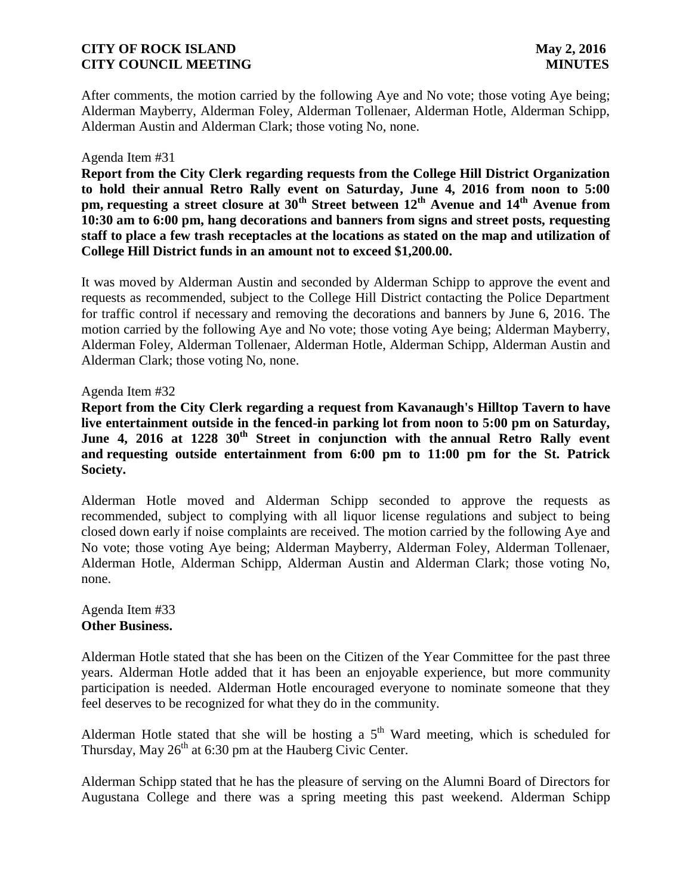After comments, the motion carried by the following Aye and No vote; those voting Aye being; Alderman Mayberry, Alderman Foley, Alderman Tollenaer, Alderman Hotle, Alderman Schipp, Alderman Austin and Alderman Clark; those voting No, none.

#### Agenda Item #31

**Report from the City Clerk regarding requests from the College Hill District Organization to hold their annual Retro Rally event on Saturday, June 4, 2016 from noon to 5:00 pm, requesting a street closure at 30th Street between 12th Avenue and 14th Avenue from 10:30 am to 6:00 pm, hang decorations and banners from signs and street posts, requesting staff to place a few trash receptacles at the locations as stated on the map and utilization of College Hill District funds in an amount not to exceed \$1,200.00.**

It was moved by Alderman Austin and seconded by Alderman Schipp to approve the event and requests as recommended, subject to the College Hill District contacting the Police Department for traffic control if necessary and removing the decorations and banners by June 6, 2016. The motion carried by the following Aye and No vote; those voting Aye being; Alderman Mayberry, Alderman Foley, Alderman Tollenaer, Alderman Hotle, Alderman Schipp, Alderman Austin and Alderman Clark; those voting No, none.

### Agenda Item #32

**Report from the City Clerk regarding a request from Kavanaugh's Hilltop Tavern to have live entertainment outside in the fenced-in parking lot from noon to 5:00 pm on Saturday, June 4, 2016 at 1228 30th Street in conjunction with the annual Retro Rally event and requesting outside entertainment from 6:00 pm to 11:00 pm for the St. Patrick Society.**

Alderman Hotle moved and Alderman Schipp seconded to approve the requests as recommended, subject to complying with all liquor license regulations and subject to being closed down early if noise complaints are received. The motion carried by the following Aye and No vote; those voting Aye being; Alderman Mayberry, Alderman Foley, Alderman Tollenaer, Alderman Hotle, Alderman Schipp, Alderman Austin and Alderman Clark; those voting No, none.

#### Agenda Item #33 **Other Business.**

Alderman Hotle stated that she has been on the Citizen of the Year Committee for the past three years. Alderman Hotle added that it has been an enjoyable experience, but more community participation is needed. Alderman Hotle encouraged everyone to nominate someone that they feel deserves to be recognized for what they do in the community.

Alderman Hotle stated that she will be hosting a  $5<sup>th</sup>$  Ward meeting, which is scheduled for Thursday, May  $26<sup>th</sup>$  at 6:30 pm at the Hauberg Civic Center.

Alderman Schipp stated that he has the pleasure of serving on the Alumni Board of Directors for Augustana College and there was a spring meeting this past weekend. Alderman Schipp